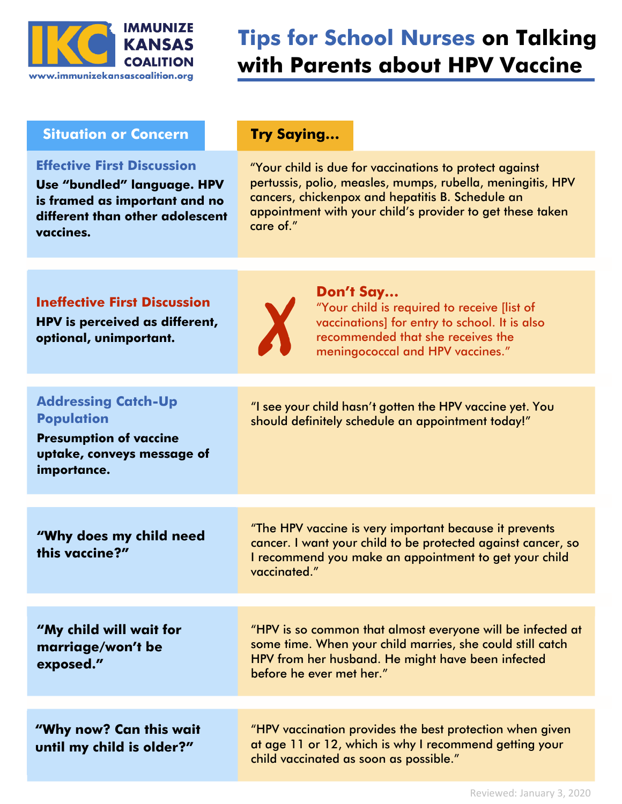

# **Tips for School Nurses on Talking with Parents about HPV Vaccine**

## **Situation or Concern** Try Saying...

### **Effective First Discussion**

**Use "bundled" language. HPV is framed as important and no different than other adolescent vaccines.**

"Your child is due for vaccinations to protect against pertussis, polio, measles, mumps, rubella, meningitis, HPV cancers, chickenpox and hepatitis B. Schedule an appointment with your child's provider to get these taken care of."

# **Ineffective First Discussion**

**HPV is perceived as different, optional, unimportant.**



### **Don't Say…**

"Your child is required to receive [list of vaccinations] for entry to school. It is also recommended that she receives the meningococcal and HPV vaccines."

| <b>Addressing Catch-Up</b><br><b>Population</b><br><b>Presumption of vaccine</b><br>uptake, conveys message of<br>importance. | "I see your child hasn't gotten the HPV vaccine yet. You<br>should definitely schedule an appointment today!"                                                                                            |  |
|-------------------------------------------------------------------------------------------------------------------------------|----------------------------------------------------------------------------------------------------------------------------------------------------------------------------------------------------------|--|
|                                                                                                                               |                                                                                                                                                                                                          |  |
| "Why does my child need<br>this vaccine?"                                                                                     | "The HPV vaccine is very important because it prevents<br>cancer. I want your child to be protected against cancer, so<br>I recommend you make an appointment to get your child<br>vaccinated."          |  |
|                                                                                                                               |                                                                                                                                                                                                          |  |
| "My child will wait for<br>marriage/won't be<br>exposed."                                                                     | "HPV is so common that almost everyone will be infected at<br>some time. When your child marries, she could still catch<br>HPV from her husband. He might have been infected<br>before he ever met her." |  |
|                                                                                                                               |                                                                                                                                                                                                          |  |
| "Why now? Can this wait<br>until my child is older?"                                                                          | "HPV vaccination provides the best protection when given<br>at age 11 or 12, which is why I recommend getting your<br>child vaccinated as soon as possible."                                             |  |